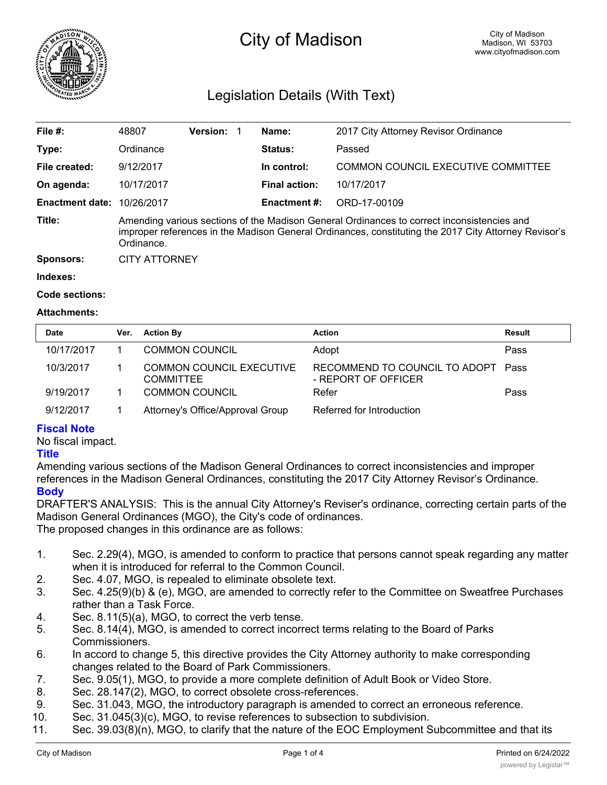

# City of Madison

# Legislation Details (With Text)

| File #:                | 48807                                                                                                                                                                                                            | <b>Version:</b> |  | Name:                | 2017 City Attorney Revisor Ordinance      |  |  |
|------------------------|------------------------------------------------------------------------------------------------------------------------------------------------------------------------------------------------------------------|-----------------|--|----------------------|-------------------------------------------|--|--|
| Type:                  | Ordinance                                                                                                                                                                                                        |                 |  | Status:              | Passed                                    |  |  |
| File created:          | 9/12/2017                                                                                                                                                                                                        |                 |  | In control:          | <b>COMMON COUNCIL EXECUTIVE COMMITTEE</b> |  |  |
| On agenda:             | 10/17/2017                                                                                                                                                                                                       |                 |  | <b>Final action:</b> | 10/17/2017                                |  |  |
| <b>Enactment date:</b> | 10/26/2017                                                                                                                                                                                                       |                 |  | <b>Enactment #:</b>  | ORD-17-00109                              |  |  |
| Title:                 | Amending various sections of the Madison General Ordinances to correct inconsistencies and<br>improper references in the Madison General Ordinances, constituting the 2017 City Attorney Revisor's<br>Ordinance. |                 |  |                      |                                           |  |  |
| <b>Sponsors:</b>       | <b>CITY ATTORNEY</b>                                                                                                                                                                                             |                 |  |                      |                                           |  |  |
| Indexes:               |                                                                                                                                                                                                                  |                 |  |                      |                                           |  |  |

**Code sections:**

#### **Attachments:**

| <b>Date</b> |            | Ver. | <b>Action By</b>                                    | <b>Action</b>                                             | <b>Result</b> |
|-------------|------------|------|-----------------------------------------------------|-----------------------------------------------------------|---------------|
|             | 10/17/2017 |      | <b>COMMON COUNCIL</b>                               | Adopt                                                     | Pass          |
|             | 10/3/2017  |      | <b>COMMON COUNCIL EXECUTIVE</b><br><b>COMMITTEE</b> | RECOMMEND TO COUNCIL TO ADOPT Pass<br>- REPORT OF OFFICER |               |
|             | 9/19/2017  |      | <b>COMMON COUNCIL</b>                               | Refer                                                     | Pass          |
|             | 9/12/2017  |      | Attorney's Office/Approval Group                    | Referred for Introduction                                 |               |

# **Fiscal Note**

No fiscal impact.

## **Title**

Amending various sections of the Madison General Ordinances to correct inconsistencies and improper references in the Madison General Ordinances, constituting the 2017 City Attorney Revisor's Ordinance. **Body**

DRAFTER'S ANALYSIS: This is the annual City Attorney's Reviser's ordinance, correcting certain parts of the Madison General Ordinances (MGO), the City's code of ordinances.

The proposed changes in this ordinance are as follows:

- 1. Sec. 2.29(4), MGO, is amended to conform to practice that persons cannot speak regarding any matter when it is introduced for referral to the Common Council.
- 2. Sec. 4.07, MGO, is repealed to eliminate obsolete text.
- 3. Sec. 4.25(9)(b) & (e), MGO, are amended to correctly refer to the Committee on Sweatfree Purchases rather than a Task Force.
- 4. Sec. 8.11(5)(a), MGO, to correct the verb tense.
- 5. Sec. 8.14(4), MGO, is amended to correct incorrect terms relating to the Board of Parks Commissioners.
- 6. In accord to change 5, this directive provides the City Attorney authority to make corresponding changes related to the Board of Park Commissioners.
- 7. Sec. 9.05(1), MGO, to provide a more complete definition of Adult Book or Video Store.
- 8. Sec. 28.147(2), MGO, to correct obsolete cross-references.
- 9. Sec. 31.043, MGO, the introductory paragraph is amended to correct an erroneous reference.
- 10. Sec. 31.045(3)(c), MGO, to revise references to subsection to subdivision.
- 11. Sec. 39.03(8)(n), MGO, to clarify that the nature of the EOC Employment Subcommittee and that its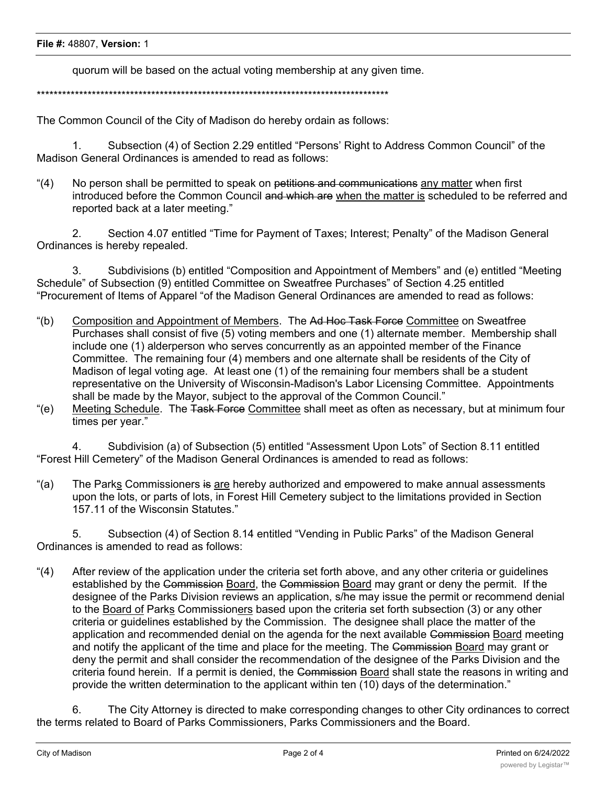quorum will be based on the actual voting membership at any given time.

\*\*\*\*\*\*\*\*\*\*\*\*\*\*\*\*\*\*\*\*\*\*\*\*\*\*\*\*\*\*\*\*\*\*\*\*\*\*\*\*\*\*\*\*\*\*\*\*\*\*\*\*\*\*\*\*\*\*\*\*\*\*\*\*\*\*\*\*\*\*\*\*\*\*\*\*\*\*\*\*\*\*\*

The Common Council of the City of Madison do hereby ordain as follows:

1. Subsection (4) of Section 2.29 entitled "Persons' Right to Address Common Council" of the Madison General Ordinances is amended to read as follows:

"(4) No person shall be permitted to speak on petitions and communications any matter when first introduced before the Common Council and which are when the matter is scheduled to be referred and reported back at a later meeting."

2. Section 4.07 entitled "Time for Payment of Taxes; Interest; Penalty" of the Madison General Ordinances is hereby repealed.

3. Subdivisions (b) entitled "Composition and Appointment of Members" and (e) entitled "Meeting Schedule" of Subsection (9) entitled Committee on Sweatfree Purchases" of Section 4.25 entitled "Procurement of Items of Apparel "of the Madison General Ordinances are amended to read as follows:

- "(b) Composition and Appointment of Members. The Ad Hoc Task Force Committee on Sweatfree Purchases shall consist of five (5) voting members and one (1) alternate member. Membership shall include one (1) alderperson who serves concurrently as an appointed member of the Finance Committee. The remaining four (4) members and one alternate shall be residents of the City of Madison of legal voting age. At least one (1) of the remaining four members shall be a student representative on the University of Wisconsin-Madison's Labor Licensing Committee. Appointments shall be made by the Mayor, subject to the approval of the Common Council."
- "(e) Meeting Schedule. The Task Force Committee shall meet as often as necessary, but at minimum four times per year."

4. Subdivision (a) of Subsection (5) entitled "Assessment Upon Lots" of Section 8.11 entitled "Forest Hill Cemetery" of the Madison General Ordinances is amended to read as follows:

"(a) The Parks Commissioners is are hereby authorized and empowered to make annual assessments upon the lots, or parts of lots, in Forest Hill Cemetery subject to the limitations provided in Section 157.11 of the Wisconsin Statutes."

5. Subsection (4) of Section 8.14 entitled "Vending in Public Parks" of the Madison General Ordinances is amended to read as follows:

"(4) After review of the application under the criteria set forth above, and any other criteria or guidelines established by the Commission Board, the Commission Board may grant or deny the permit. If the designee of the Parks Division reviews an application, s/he may issue the permit or recommend denial to the Board of Parks Commissioners based upon the criteria set forth subsection (3) or any other criteria or guidelines established by the Commission. The designee shall place the matter of the application and recommended denial on the agenda for the next available Commission Board meeting and notify the applicant of the time and place for the meeting. The Commission Board may grant or deny the permit and shall consider the recommendation of the designee of the Parks Division and the criteria found herein. If a permit is denied, the Commission Board shall state the reasons in writing and provide the written determination to the applicant within ten (10) days of the determination."

6. The City Attorney is directed to make corresponding changes to other City ordinances to correct the terms related to Board of Parks Commissioners, Parks Commissioners and the Board.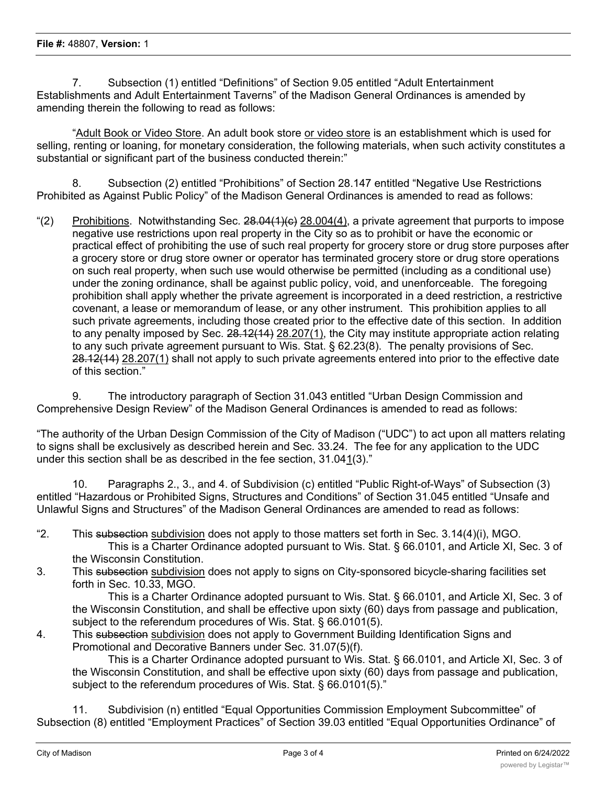7. Subsection (1) entitled "Definitions" of Section 9.05 entitled "Adult Entertainment Establishments and Adult Entertainment Taverns" of the Madison General Ordinances is amended by amending therein the following to read as follows:

"Adult Book or Video Store. An adult book store or video store is an establishment which is used for selling, renting or loaning, for monetary consideration, the following materials, when such activity constitutes a substantial or significant part of the business conducted therein:"

8. Subsection (2) entitled "Prohibitions" of Section 28.147 entitled "Negative Use Restrictions Prohibited as Against Public Policy" of the Madison General Ordinances is amended to read as follows:

"(2) Prohibitions. Notwithstanding Sec.  $28.04(1)(c)$   $28.004(4)$ , a private agreement that purports to impose negative use restrictions upon real property in the City so as to prohibit or have the economic or practical effect of prohibiting the use of such real property for grocery store or drug store purposes after a grocery store or drug store owner or operator has terminated grocery store or drug store operations on such real property, when such use would otherwise be permitted (including as a conditional use) under the zoning ordinance, shall be against public policy, void, and unenforceable. The foregoing prohibition shall apply whether the private agreement is incorporated in a deed restriction, a restrictive covenant, a lease or memorandum of lease, or any other instrument. This prohibition applies to all such private agreements, including those created prior to the effective date of this section. In addition to any penalty imposed by Sec. 28.12(14) 28.207(1), the City may institute appropriate action relating to any such private agreement pursuant to Wis. Stat. § 62.23(8). The penalty provisions of Sec. 28.12(14) 28.207(1) shall not apply to such private agreements entered into prior to the effective date of this section."

9. The introductory paragraph of Section 31.043 entitled "Urban Design Commission and Comprehensive Design Review" of the Madison General Ordinances is amended to read as follows:

"The authority of the Urban Design Commission of the City of Madison ("UDC") to act upon all matters relating to signs shall be exclusively as described herein and Sec. 33.24. The fee for any application to the UDC under this section shall be as described in the fee section, 31.041(3)."

10. Paragraphs 2., 3., and 4. of Subdivision (c) entitled "Public Right-of-Ways" of Subsection (3) entitled "Hazardous or Prohibited Signs, Structures and Conditions" of Section 31.045 entitled "Unsafe and Unlawful Signs and Structures" of the Madison General Ordinances are amended to read as follows:

- "2. This subsection subdivision does not apply to those matters set forth in Sec. 3.14(4)(i), MGO. This is a Charter Ordinance adopted pursuant to Wis. Stat. § 66.0101, and Article XI, Sec. 3 of the Wisconsin Constitution.
- 3. This subsection subdivision does not apply to signs on City-sponsored bicycle-sharing facilities set forth in Sec. 10.33, MGO.

This is a Charter Ordinance adopted pursuant to Wis. Stat. § 66.0101, and Article XI, Sec. 3 of the Wisconsin Constitution, and shall be effective upon sixty (60) days from passage and publication, subject to the referendum procedures of Wis. Stat. § 66.0101(5).

4. This subsection subdivision does not apply to Government Building Identification Signs and Promotional and Decorative Banners under Sec. 31.07(5)(f).

This is a Charter Ordinance adopted pursuant to Wis. Stat. § 66.0101, and Article XI, Sec. 3 of the Wisconsin Constitution, and shall be effective upon sixty (60) days from passage and publication, subject to the referendum procedures of Wis. Stat. § 66.0101(5)."

11. Subdivision (n) entitled "Equal Opportunities Commission Employment Subcommittee" of Subsection (8) entitled "Employment Practices" of Section 39.03 entitled "Equal Opportunities Ordinance" of